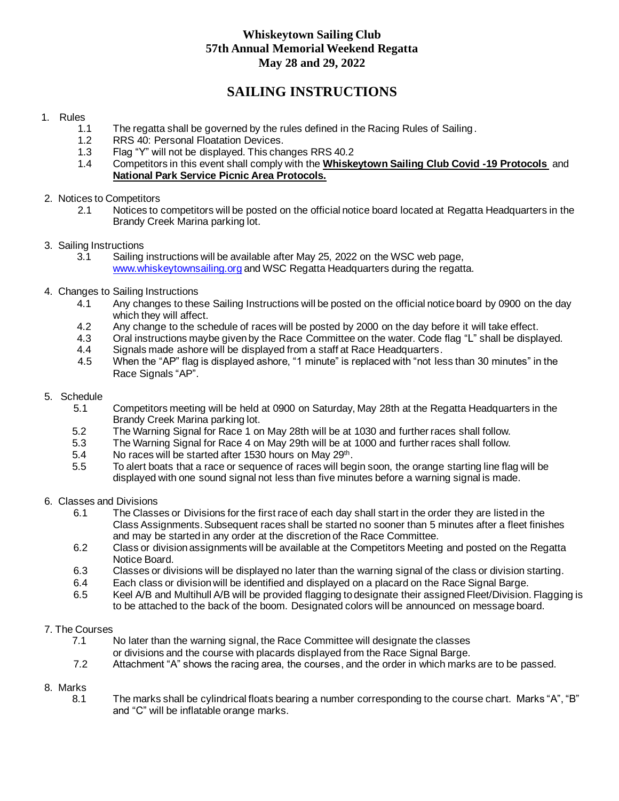# **Whiskeytown Sailing Club 57th Annual Memorial Weekend Regatta May 28 and 29, 2022**

# **SAILING INSTRUCTIONS**

## 1. Rules

- 1.1 The regatta shall be governed by the rules defined in the Racing Rules of Sailing.
- 1.2 RRS 40: Personal Floatation Devices.
- 1.3 Flag "Y" will not be displayed. This changes RRS 40.2
- 1.4 Competitors in this event shall comply with the **Whiskeytown Sailing Club Covid -19 Protocols** and **National Park Service Picnic Area Protocols.**
- 2. Notices to Competitors
	- 2.1 Notices to competitors will be posted on the official notice board located at Regatta Headquarters in the Brandy Creek Marina parking lot.
- 3. Sailing Instructions
	- 3.1 Sailing instructions will be available after May 25, 2022 on the WSC web page, [www.whiskeytownsailing.org](http://www.whiskeytownsailing.org/) and WSC Regatta Headquarters during the regatta.
- 4. Changes to Sailing Instructions
	- 4.1 Any changes to these Sailing Instructions will be posted on the official notice board by 0900 on the day which they will affect.
	- 4.2 Any change to the schedule of races will be posted by 2000 on the day before it will take effect.
	- 4.3 Oral instructions maybe given by the Race Committee on the water. Code flag "L" shall be displayed.
	- 4.4 Signals made ashore will be displayed from a staff at Race Headquarters.<br>4.5 When the "AP" flag is displayed ashore, "1 minute" is replaced with "not les
	- When the "AP" flag is displayed ashore, "1 minute" is replaced with "not less than 30 minutes" in the Race Signals "AP".
- 5. Schedule
	- 5.1 Competitors meeting will be held at 0900 on Saturday, May 28th at the Regatta Headquarters in the Brandy Creek Marina parking lot.
	- 5.2 The Warning Signal for Race 1 on May 28th will be at 1030 and further races shall follow.
	- 5.3 The Warning Signal for Race 4 on May 29th will be at 1000 and further races shall follow.
- 5.4 No races will be started after 1530 hours on May 29<sup>th</sup>.
	- 5.5 To alert boats that a race or sequence of races will begin soon, the orange starting line flag will be displayed with one sound signal not less than five minutes before a warning signal is made.
- 6. Classes and Divisions
	- 6.1 The Classes or Divisions for the first race of each day shall start in the order they are listed in the Class Assignments. Subsequent races shall be started no sooner than 5 minutes after a fleet finishes and may be started in any order at the discretion of the Race Committee.
	- 6.2 Class or division assignments will be available at the Competitors Meeting and posted on the Regatta Notice Board.
	- 6.3 Classes or divisions will be displayed no later than the warning signal of the class or division starting.
	- 6.4 Each class or division will be identified and displayed on a placard on the Race Signal Barge.
	- 6.5 Keel A/B and Multihull A/B will be provided flagging to designate their assigned Fleet/Division. Flagging is to be attached to the back of the boom. Designated colors will be announced on message board.

#### 7. The Courses

- 7.1 No later than the warning signal, the Race Committee will designate the classes or divisions and the course with placards displayed from the Race Signal Barge.
- 7.2 Attachment "A" shows the racing area, the courses, and the order in which marks are to be passed.

# 8. Marks

 8.1 The marks shall be cylindrical floats bearing a number corresponding to the course chart. Marks "A", "B" and "C" will be inflatable orange marks.